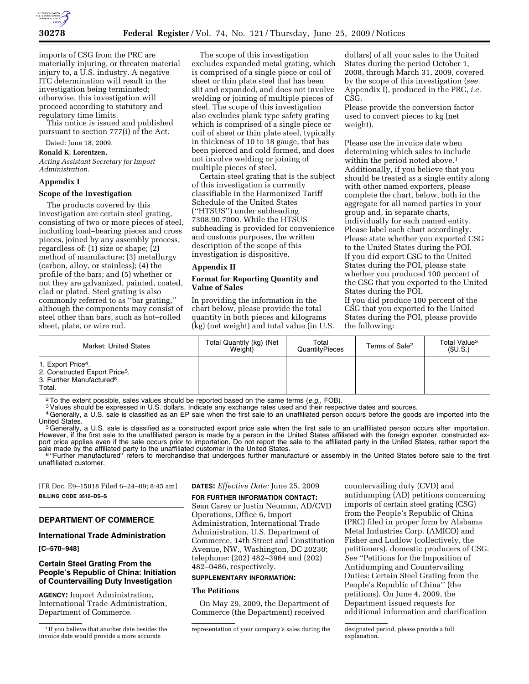

imports of CSG from the PRC are materially injuring, or threaten material injury to, a U.S. industry. A negative ITC determination will result in the investigation being terminated; otherwise, this investigation will proceed according to statutory and regulatory time limits.

This notice is issued and published pursuant to section 777(i) of the Act.

# Dated: June 18, 2009.

**Ronald K. Lorentzen,**  *Acting Assistant Secretary for Import Administration.* 

#### **Appendix I**

## **Scope of the Investigation**

The products covered by this investigation are certain steel grating, consisting of two or more pieces of steel, including load–bearing pieces and cross pieces, joined by any assembly process, regardless of: (1) size or shape; (2) method of manufacture; (3) metallurgy (carbon, alloy, or stainless); (4) the profile of the bars; and (5) whether or not they are galvanized, painted, coated, clad or plated. Steel grating is also commonly referred to as ''bar grating,'' although the components may consist of steel other than bars, such as hot–rolled sheet, plate, or wire rod.

The scope of this investigation excludes expanded metal grating, which is comprised of a single piece or coil of sheet or thin plate steel that has been slit and expanded, and does not involve welding or joining of multiple pieces of steel. The scope of this investigation also excludes plank type safety grating which is comprised of a single piece or coil of sheet or thin plate steel, typically in thickness of 10 to 18 gauge, that has been pierced and cold formed, and does not involve welding or joining of multiple pieces of steel.

Certain steel grating that is the subject of this investigation is currently classifiable in the Harmonized Tariff Schedule of the United States (''HTSUS'') under subheading 7308.90.7000. While the HTSUS subheading is provided for convenience and customs purposes, the written description of the scope of this investigation is dispositive.

## **Appendix II**

## **Format for Reporting Quantity and Value of Sales**

In providing the information in the chart below, please provide the total quantity in both pieces and kilograms (kg) (net weight) and total value (in U.S.

dollars) of all your sales to the United States during the period October 1, 2008, through March 31, 2009, covered by the scope of this investigation (*see*  Appendix I), produced in the PRC, *i.e.*  CSG.

Please provide the conversion factor used to convert pieces to kg (net weight).

Please use the invoice date when determining which sales to include within the period noted above.<sup>1</sup> Additionally, if you believe that you should be treated as a single entity along with other named exporters, please complete the chart, below, both in the aggregate for all named parties in your group and, in separate charts, individually for each named entity. Please label each chart accordingly. Please state whether you exported CSG to the United States during the POI. If you did export CSG to the United States during the POI, please state whether you produced 100 percent of the CSG that you exported to the United States during the POI.

If you did produce 100 percent of the CSG that you exported to the United States during the POI, please provide the following:

| Market: United States                                                                                                            | Total Quantity (kg) (Net<br>Weight) | Total<br>QuantityPieces | Terms of Sale <sup>2</sup> | Total Value <sup>3</sup><br>(SU.S.) |
|----------------------------------------------------------------------------------------------------------------------------------|-------------------------------------|-------------------------|----------------------------|-------------------------------------|
| 1. Export Price <sup>4</sup> .<br>2. Constructed Export Price <sup>5</sup> .<br>3. Further Manufactured <sup>6</sup> .<br>Total. |                                     |                         |                            |                                     |

<sup>2</sup> To the extent possible, sales values should be reported based on the same terms (*e.g.*, FOB).<br><sup>3</sup> Values should be expressed in U.S. dollars. Indicate any exchange rates used and their respective dates and sources.<br><sup>4</sup>

United States.<br><sup>5</sup>Generally, a U.S. sale is classified as a constructed export price sale when the first sale to an unaffiliated person occurs after importation. However, if the first sale to the unaffiliated person is made by a person in the United States affiliated with the foreign exporter, constructed export price applies even if the sale occurs prior to importation. Do not report the sale to the affiliated party in the United States, rather report the sale made by the affiliated party to the unaffiliated customer in the United States.<br>
<sup>6</sup> "Further manufactured" refers to merchandise that undergoes further manufacture or assembly in the United States before sale to the

unaffiliated customer.

[FR Doc. E9–15018 Filed 6–24–09; 8:45 am] **BILLING CODE 3510–DS–S** 

## **DEPARTMENT OF COMMERCE**

## **International Trade Administration**

**[C–570–948]** 

## **Certain Steel Grating From the People's Republic of China: Initiation of Countervailing Duty Investigation**

**AGENCY:** Import Administration, International Trade Administration, Department of Commerce.

**DATES:** *Effective Date:* June 25, 2009

**FOR FURTHER INFORMATION CONTACT:**  Sean Carey or Justin Neuman, AD/CVD Operations, Office 6, Import Administration, International Trade Administration, U.S. Department of Commerce, 14th Street and Constitution Avenue, NW., Washington, DC 20230; telephone: (202) 482–3964 and (202) 482–0486, respectively.

#### **SUPPLEMENTARY INFORMATION:**

## **The Petitions**

On May 29, 2009, the Department of Commerce (the Department) received

countervailing duty (CVD) and antidumping (AD) petitions concerning imports of certain steel grating (CSG) from the People's Republic of China (PRC) filed in proper form by Alabama Metal Industries Corp. (AMICO) and Fisher and Ludlow (collectively, the petitioners), domestic producers of CSG. *See* ''Petitions for the Imposition of Antidumping and Countervailing Duties: Certain Steel Grating from the People's Republic of China'' (the petitions). On June 4, 2009, the Department issued requests for additional information and clarification

<sup>&</sup>lt;sup>1</sup> If you believe that another date besides the invoice date would provide a more accurate

representation of your company's sales during the designated period, please provide a full

explanation.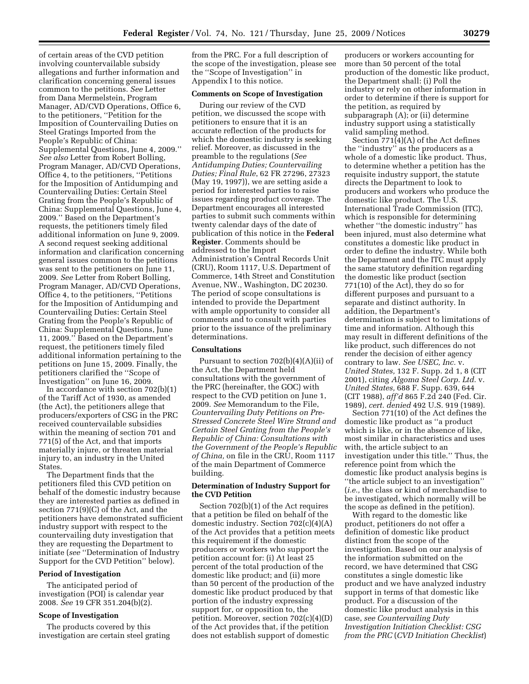of certain areas of the CVD petition involving countervailable subsidy allegations and further information and clarification concerning general issues common to the petitions. *See* Letter from Dana Mermelstein, Program Manager, AD/CVD Operations, Office 6, to the petitioners, ''Petition for the Imposition of Countervailing Duties on Steel Gratings Imported from the People's Republic of China: Supplemental Questions, June 4, 2009.'' *See also* Letter from Robert Bolling, Program Manager, AD/CVD Operations, Office 4, to the petitioners, ''Petitions for the Imposition of Antidumping and Countervailing Duties: Certain Steel Grating from the People's Republic of China: Supplemental Questions, June 4, 2009.'' Based on the Department's requests, the petitioners timely filed additional information on June 9, 2009. A second request seeking additional information and clarification concerning general issues common to the petitions was sent to the petitioners on June 11, 2009. *See* Letter from Robert Bolling, Program Manager, AD/CVD Operations, Office 4, to the petitioners, ''Petitions for the Imposition of Antidumping and Countervailing Duties: Certain Steel Grating from the People's Republic of China: Supplemental Questions, June 11, 2009.'' Based on the Department's request, the petitioners timely filed additional information pertaining to the petitions on June 15, 2009. Finally, the petitioners clarified the ''Scope of Investigation'' on June 16, 2009.

In accordance with section 702(b)(1) of the Tariff Act of 1930, as amended (the Act), the petitioners allege that producers/exporters of CSG in the PRC received countervailable subsidies within the meaning of section 701 and 771(5) of the Act, and that imports materially injure, or threaten material injury to, an industry in the United States.

The Department finds that the petitioners filed this CVD petition on behalf of the domestic industry because they are interested parties as defined in section 771(9)(C) of the Act, and the petitioners have demonstrated sufficient industry support with respect to the countervailing duty investigation that they are requesting the Department to initiate (*see* ''Determination of Industry Support for the CVD Petition'' below).

#### **Period of Investigation**

The anticipated period of investigation (POI) is calendar year 2008. *See* 19 CFR 351.204(b)(2).

## **Scope of Investigation**

The products covered by this investigation are certain steel grating from the PRC. For a full description of the scope of the investigation, please see the ''Scope of Investigation'' in Appendix I to this notice.

## **Comments on Scope of Investigation**

During our review of the CVD petition, we discussed the scope with petitioners to ensure that it is an accurate reflection of the products for which the domestic industry is seeking relief. Moreover, as discussed in the preamble to the regulations (*See Antidumping Duties; Countervailing Duties; Final Rule*, 62 FR 27296, 27323 (May 19, 1997)), we are setting aside a period for interested parties to raise issues regarding product coverage. The Department encourages all interested parties to submit such comments within twenty calendar days of the date of publication of this notice in the **Federal Register**. Comments should be addressed to the Import Administration's Central Records Unit (CRU), Room 1117, U.S. Department of Commerce, 14th Street and Constitution Avenue, NW., Washington, DC 20230. The period of scope consultations is intended to provide the Department with ample opportunity to consider all comments and to consult with parties prior to the issuance of the preliminary determinations.

#### **Consultations**

Pursuant to section 702(b)(4)(A)(ii) of the Act, the Department held consultations with the government of the PRC (hereinafter, the GOC) with respect to the CVD petition on June 1, 2009. *See* Memorandum to the File, *Countervailing Duty Petitions on Pre-Stressed Concrete Steel Wire Strand and Certain Steel Grating from the People's Republic of China: Consultations with the Government of the People's Republic of China,* on file in the CRU, Room 1117 of the main Department of Commerce building.

## **Determination of Industry Support for the CVD Petition**

Section 702(b)(1) of the Act requires that a petition be filed on behalf of the domestic industry. Section 702(c)(4)(A) of the Act provides that a petition meets this requirement if the domestic producers or workers who support the petition account for: (i) At least 25 percent of the total production of the domestic like product; and (ii) more than 50 percent of the production of the domestic like product produced by that portion of the industry expressing support for, or opposition to, the petition. Moreover, section 702(c)(4)(D) of the Act provides that, if the petition does not establish support of domestic

producers or workers accounting for more than 50 percent of the total production of the domestic like product, the Department shall: (i) Poll the industry or rely on other information in order to determine if there is support for the petition, as required by subparagraph (A); or (ii) determine industry support using a statistically valid sampling method.

Section 771(4)(A) of the Act defines the ''industry'' as the producers as a whole of a domestic like product. Thus, to determine whether a petition has the requisite industry support, the statute directs the Department to look to producers and workers who produce the domestic like product. The U.S. International Trade Commission (ITC), which is responsible for determining whether ''the domestic industry'' has been injured, must also determine what constitutes a domestic like product in order to define the industry. While both the Department and the ITC must apply the same statutory definition regarding the domestic like product (section 771(10) of the Act), they do so for different purposes and pursuant to a separate and distinct authority. In addition, the Department's determination is subject to limitations of time and information. Although this may result in different definitions of the like product, such differences do not render the decision of either agency contrary to law. *See USEC, Inc.* v. *United States,* 132 F. Supp. 2d 1, 8 (CIT 2001), citing *Algoma Steel Corp. Ltd.* v. *United States,* 688 F. Supp. 639, 644 (CIT 1988), *aff'd* 865 F.2d 240 (Fed. Cir. 1989), *cert. denied* 492 U.S. 919 (1989).

Section 771(10) of the Act defines the domestic like product as ''a product which is like, or in the absence of like, most similar in characteristics and uses with, the article subject to an investigation under this title.'' Thus, the reference point from which the domestic like product analysis begins is ''the article subject to an investigation'' (*i.e.,* the class or kind of merchandise to be investigated, which normally will be the scope as defined in the petition).

With regard to the domestic like product, petitioners do not offer a definition of domestic like product distinct from the scope of the investigation. Based on our analysis of the information submitted on the record, we have determined that CSG constitutes a single domestic like product and we have analyzed industry support in terms of that domestic like product. For a discussion of the domestic like product analysis in this case, *see Countervailing Duty Investigation Initiation Checklist: CSG from the PRC* (*CVD Initiation Checklist*)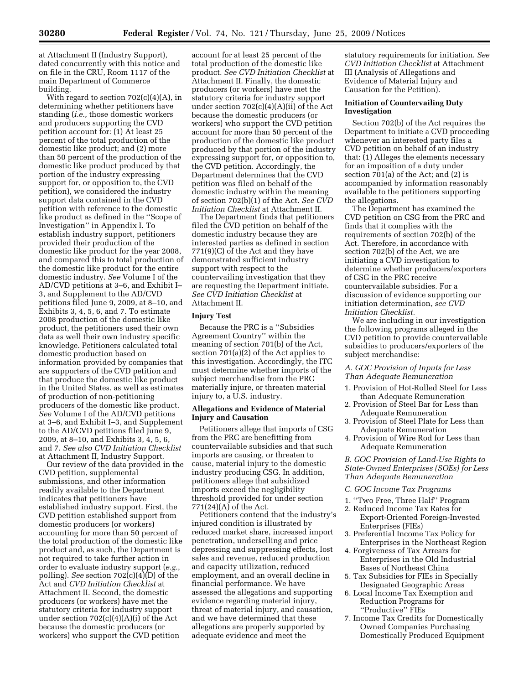at Attachment II (Industry Support), dated concurrently with this notice and on file in the CRU, Room 1117 of the main Department of Commerce building.

With regard to section 702(c)(4)(A), in determining whether petitioners have standing (*i.e.,* those domestic workers and producers supporting the CVD petition account for: (1) At least 25 percent of the total production of the domestic like product; and (2) more than 50 percent of the production of the domestic like product produced by that portion of the industry expressing support for, or opposition to, the CVD petition), we considered the industry support data contained in the CVD petition with reference to the domestic like product as defined in the ''Scope of Investigation'' in Appendix I. To establish industry support, petitioners provided their production of the domestic like product for the year 2008, and compared this to total production of the domestic like product for the entire domestic industry. *See* Volume I of the AD/CVD petitions at 3–6, and Exhibit I– 3, and Supplement to the AD/CVD petitions filed June 9, 2009, at 8–10, and Exhibits 3, 4, 5, 6, and 7. To estimate 2008 production of the domestic like product, the petitioners used their own data as well their own industry specific knowledge. Petitioners calculated total domestic production based on information provided by companies that are supporters of the CVD petition and that produce the domestic like product in the United States, as well as estimates of production of non-petitioning producers of the domestic like product. *See* Volume I of the AD/CVD petitions at 3–6, and Exhibit I–3, and Supplement to the AD/CVD petitions filed June 9, 2009, at 8–10, and Exhibits 3, 4, 5, 6, and 7. *See also CVD Initiation Checklist*  at Attachment II, Industry Support.

Our review of the data provided in the CVD petition, supplemental submissions, and other information readily available to the Department indicates that petitioners have established industry support. First, the CVD petition established support from domestic producers (or workers) accounting for more than 50 percent of the total production of the domestic like product and, as such, the Department is not required to take further action in order to evaluate industry support (*e.g.*, polling). *See* section 702(c)(4)(D) of the Act and *CVD Initiation Checklist* at Attachment II. Second, the domestic producers (or workers) have met the statutory criteria for industry support under section 702(c)(4)(A)(i) of the Act because the domestic producers (or workers) who support the CVD petition

account for at least 25 percent of the total production of the domestic like product. *See CVD Initiation Checklist* at Attachment II. Finally, the domestic producers (or workers) have met the statutory criteria for industry support under section 702(c)(4)(A)(ii) of the Act because the domestic producers (or workers) who support the CVD petition account for more than 50 percent of the production of the domestic like product produced by that portion of the industry expressing support for, or opposition to, the CVD petition. Accordingly, the Department determines that the CVD petition was filed on behalf of the domestic industry within the meaning of section 702(b)(1) of the Act. *See CVD Initiation Checklist* at Attachment II.

The Department finds that petitioners filed the CVD petition on behalf of the domestic industry because they are interested parties as defined in section 771(9)(C) of the Act and they have demonstrated sufficient industry support with respect to the countervailing investigation that they are requesting the Department initiate. *See CVD Initiation Checklist* at Attachment II.

#### **Injury Test**

Because the PRC is a ''Subsidies Agreement Country'' within the meaning of section 701(b) of the Act, section 701(a)(2) of the Act applies to this investigation. Accordingly, the ITC must determine whether imports of the subject merchandise from the PRC materially injure, or threaten material injury to, a U.S. industry.

## **Allegations and Evidence of Material Injury and Causation**

Petitioners allege that imports of CSG from the PRC are benefitting from countervailable subsidies and that such imports are causing, or threaten to cause, material injury to the domestic industry producing CSG. In addition, petitioners allege that subsidized imports exceed the negligibility threshold provided for under section 771(24)(A) of the Act.

Petitioners contend that the industry's injured condition is illustrated by reduced market share, increased import penetration, underselling and price depressing and suppressing effects, lost sales and revenue, reduced production and capacity utilization, reduced employment, and an overall decline in financial performance. We have assessed the allegations and supporting evidence regarding material injury, threat of material injury, and causation, and we have determined that these allegations are properly supported by adequate evidence and meet the

statutory requirements for initiation. *See CVD Initiation Checklist* at Attachment III (Analysis of Allegations and Evidence of Material Injury and Causation for the Petition).

## **Initiation of Countervailing Duty Investigation**

Section 702(b) of the Act requires the Department to initiate a CVD proceeding whenever an interested party files a CVD petition on behalf of an industry that: (1) Alleges the elements necessary for an imposition of a duty under section 701(a) of the Act; and (2) is accompanied by information reasonably available to the petitioners supporting the allegations.

The Department has examined the CVD petition on CSG from the PRC and finds that it complies with the requirements of section 702(b) of the Act. Therefore, in accordance with section 702(b) of the Act, we are initiating a CVD investigation to determine whether producers/exporters of CSG in the PRC receive countervailable subsidies. For a discussion of evidence supporting our initiation determination, *see CVD Initiation Checklist.* 

We are including in our investigation the following programs alleged in the CVD petition to provide countervailable subsidies to producers/exporters of the subject merchandise:

#### *A. GOC Provision of Inputs for Less Than Adequate Remuneration*

- 1. Provision of Hot-Rolled Steel for Less than Adequate Remuneration
- 2. Provision of Steel Bar for Less than Adequate Remuneration
- 3. Provision of Steel Plate for Less than Adequate Remuneration
- 4. Provision of Wire Rod for Less than Adequate Remuneration

*B. GOC Provision of Land-Use Rights to State-Owned Enterprises (SOEs) for Less Than Adequate Remuneration* 

#### *C. GOC Income Tax Programs*

- 1. ''Two Free, Three Half'' Program
- 2. Reduced Income Tax Rates for Export-Oriented Foreign-Invested Enterprises (FIEs)
- 3. Preferential Income Tax Policy for Enterprises in the Northeast Region
- 4. Forgiveness of Tax Arrears for Enterprises in the Old Industrial Bases of Northeast China
- 5. Tax Subsidies for FIEs in Specially Designated Geographic Areas
- 6. Local Income Tax Exemption and Reduction Programs for ''Productive'' FIEs
- 7. Income Tax Credits for Domestically Owned Companies Purchasing Domestically Produced Equipment